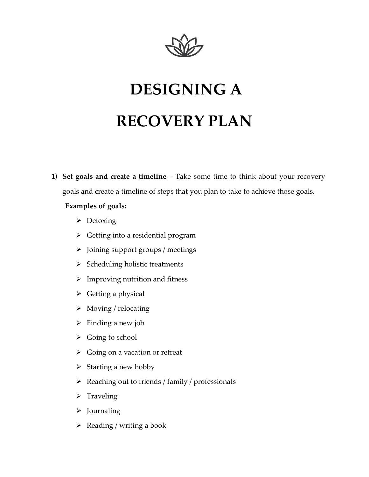

# **DESIGNING A RECOVERY PLAN**

**1) Set goals and create a timeline** – Take some time to think about your recovery goals and create a timeline of steps that you plan to take to achieve those goals.

## **Examples of goals:**

- ➢ Detoxing
- ➢ Getting into a residential program
- ➢ Joining support groups / meetings
- $\triangleright$  Scheduling holistic treatments
- $\triangleright$  Improving nutrition and fitness
- $\triangleright$  Getting a physical
- ➢ Moving / relocating
- $\triangleright$  Finding a new job
- $\triangleright$  Going to school
- ➢ Going on a vacation or retreat
- $\triangleright$  Starting a new hobby
- ➢ Reaching out to friends / family / professionals
- ➢ Traveling
- ➢ Journaling
- $\triangleright$  Reading / writing a book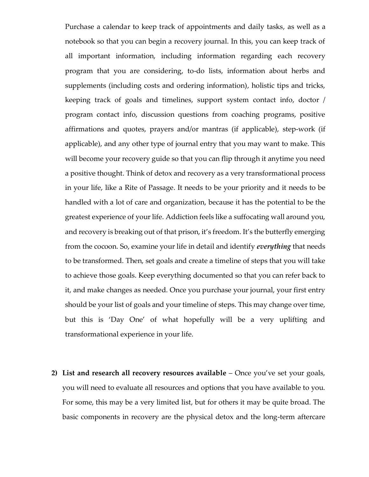Purchase a calendar to keep track of appointments and daily tasks, as well as a notebook so that you can begin a recovery journal. In this, you can keep track of all important information, including information regarding each recovery program that you are considering, to-do lists, information about herbs and supplements (including costs and ordering information), holistic tips and tricks, keeping track of goals and timelines, support system contact info, doctor / program contact info, discussion questions from coaching programs, positive affirmations and quotes, prayers and/or mantras (if applicable), step-work (if applicable), and any other type of journal entry that you may want to make. This will become your recovery guide so that you can flip through it anytime you need a positive thought. Think of detox and recovery as a very transformational process in your life, like a Rite of Passage. It needs to be your priority and it needs to be handled with a lot of care and organization, because it has the potential to be the greatest experience of your life. Addiction feels like a suffocating wall around you, and recovery is breaking out of that prison, it's freedom. It's the butterfly emerging from the cocoon. So, examine your life in detail and identify *everything* that needs to be transformed. Then, set goals and create a timeline of steps that you will take to achieve those goals. Keep everything documented so that you can refer back to it, and make changes as needed. Once you purchase your journal, your first entry should be your list of goals and your timeline of steps. This may change over time, but this is 'Day One' of what hopefully will be a very uplifting and transformational experience in your life.

**2) List and research all recovery resources available** – Once you've set your goals, you will need to evaluate all resources and options that you have available to you. For some, this may be a very limited list, but for others it may be quite broad. The basic components in recovery are the physical detox and the long-term aftercare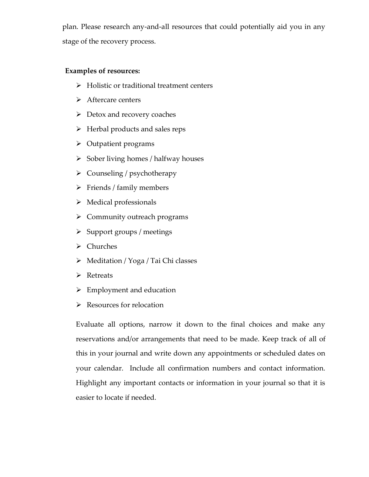plan. Please research any-and-all resources that could potentially aid you in any stage of the recovery process.

#### **Examples of resources:**

- ➢ Holistic or traditional treatment centers
- ➢ Aftercare centers
- $\triangleright$  Detox and recovery coaches
- ➢ Herbal products and sales reps
- ➢ Outpatient programs
- $\triangleright$  Sober living homes / halfway houses
- ➢ Counseling / psychotherapy
- $\triangleright$  Friends / family members
- ➢ Medical professionals
- ➢ Community outreach programs
- ➢ Support groups / meetings
- ➢ Churches
- ➢ Meditation / Yoga / Tai Chi classes
- ➢ Retreats
- ➢ Employment and education
- ➢ Resources for relocation

Evaluate all options, narrow it down to the final choices and make any reservations and/or arrangements that need to be made. Keep track of all of this in your journal and write down any appointments or scheduled dates on your calendar. Include all confirmation numbers and contact information. Highlight any important contacts or information in your journal so that it is easier to locate if needed.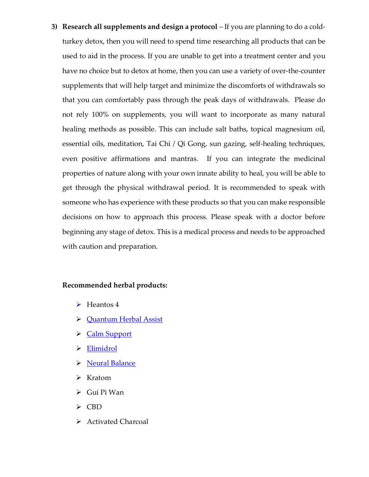**3) Research all supplements and design a protocol** – If you are planning to do a coldturkey detox, then you will need to spend time researching all products that can be used to aid in the process. If you are unable to get into a treatment center and you have no choice but to detox at home, then you can use a variety of over-the-counter supplements that will help target and minimize the discomforts of withdrawals so that you can comfortably pass through the peak days of withdrawals. Please do not rely 100% on supplements, you will want to incorporate as many natural healing methods as possible. This can include salt baths, topical magnesium oil, essential oils, meditation, Tai Chi / Qi Gong, sun gazing, self-healing techniques, even positive affirmations and mantras. If you can integrate the medicinal properties of nature along with your own innate ability to heal, you will be able to get through the physical withdrawal period. It is recommended to speak with someone who has experience with these products so that you can make responsible decisions on how to approach this process. Please speak with a doctor before beginning any stage of detox. This is a medical process and needs to be approached with caution and preparation.

### **Recommended herbal products:**

- ➢ Heantos 4
- ➢ [Quantum Herbal Assist](mailto:designyourdetox@gmail.com)
- ➢ [Calm Support](https://calmsupport.com/)
- ➢ [Elimidrol](https://www.elimidrol.com/)
- ➢ [Neural Balance](https://www.neuralbalance.com/)
- ➢ Kratom
- ➢ Gui Pi Wan
- ➢ CBD
- ➢ Activated Charcoal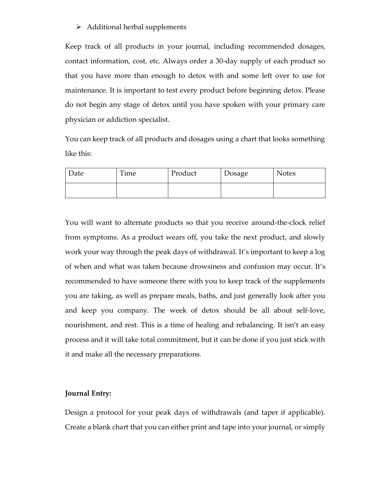#### ➢ Additional herbal supplements

Keep track of all products in your journal, including recommended dosages, contact information, cost, etc. Always order a 30-day supply of each product so that you have more than enough to detox with and some left over to use for maintenance. It is important to test every product before beginning detox. Please do not begin any stage of detox until you have spoken with your primary care physician or addiction specialist.

You can keep track of all products and dosages using a chart that looks something like this:

| Date | Time | Product | Dosage | <b>Notes</b> |
|------|------|---------|--------|--------------|
|      |      |         |        |              |

You will want to alternate products so that you receive around-the-clock relief from symptoms. As a product wears off, you take the next product, and slowly work your way through the peak days of withdrawal. It's important to keep a log of when and what was taken because drowsiness and confusion may occur. It's recommended to have someone there with you to keep track of the supplements you are taking, as well as prepare meals, baths, and just generally look after you and keep you company. The week of detox should be all about self-love, nourishment, and rest. This is a time of healing and rebalancing. It isn't an easy process and it will take total commitment, but it can be done if you just stick with it and make all the necessary preparations.

### **Journal Entry:**

Design a protocol for your peak days of withdrawals (and taper if applicable). Create a blank chart that you can either print and tape into your journal, or simply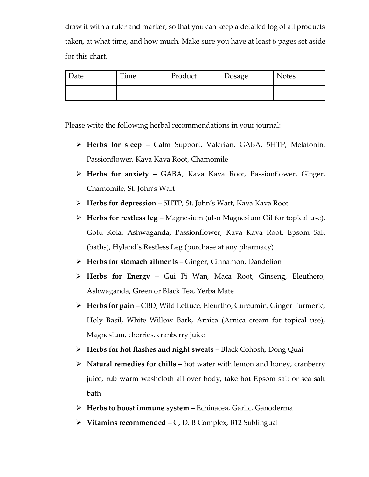draw it with a ruler and marker, so that you can keep a detailed log of all products taken, at what time, and how much. Make sure you have at least 6 pages set aside for this chart.

| Date | Time | Product | Dosage | <b>Notes</b> |
|------|------|---------|--------|--------------|
|      |      |         |        |              |

Please write the following herbal recommendations in your journal:

- ➢ **Herbs for sleep** Calm Support, Valerian, GABA, 5HTP, Melatonin, Passionflower, Kava Kava Root, Chamomile
- ➢ **Herbs for anxiety** GABA, Kava Kava Root, Passionflower, Ginger, Chamomile, St. John's Wart
- ➢ **Herbs for depression** 5HTP, St. John's Wart, Kava Kava Root
- ➢ **Herbs for restless leg** Magnesium (also Magnesium Oil for topical use), Gotu Kola, Ashwaganda, Passionflower, Kava Kava Root, Epsom Salt (baths), Hyland's Restless Leg (purchase at any pharmacy)
- ➢ **Herbs for stomach ailments** Ginger, Cinnamon, Dandelion
- ➢ **Herbs for Energy** Gui Pi Wan, Maca Root, Ginseng, Eleuthero, Ashwaganda, Green or Black Tea, Yerba Mate
- ➢ **Herbs for pain** CBD, Wild Lettuce, Eleurtho, Curcumin, Ginger Turmeric, Holy Basil, White Willow Bark, Arnica (Arnica cream for topical use), Magnesium, cherries, cranberry juice
- ➢ **Herbs for hot flashes and night sweats** Black Cohosh, Dong Quai
- ➢ **Natural remedies for chills** hot water with lemon and honey, cranberry juice, rub warm washcloth all over body, take hot Epsom salt or sea salt bath
- ➢ **Herbs to boost immune system** Echinacea, Garlic, Ganoderma
- ➢ **Vitamins recommended** C, D, B Complex, B12 Sublingual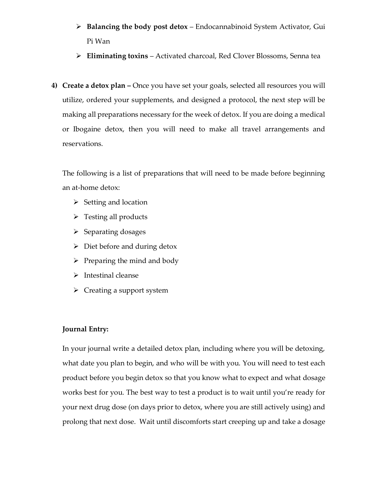- ➢ **Balancing the body post detox** Endocannabinoid System Activator, Gui Pi Wan
- ➢ **Eliminating toxins** Activated charcoal, Red Clover Blossoms, Senna tea
- **4) Create a detox plan –** Once you have set your goals, selected all resources you will utilize, ordered your supplements, and designed a protocol, the next step will be making all preparations necessary for the week of detox. If you are doing a medical or Ibogaine detox, then you will need to make all travel arrangements and reservations.

The following is a list of preparations that will need to be made before beginning an at-home detox:

- $\triangleright$  Setting and location
- $\triangleright$  Testing all products
- ➢ Separating dosages
- $\triangleright$  Diet before and during detox
- $\triangleright$  Preparing the mind and body
- ➢ Intestinal cleanse
- $\triangleright$  Creating a support system

## **Journal Entry:**

In your journal write a detailed detox plan, including where you will be detoxing, what date you plan to begin, and who will be with you. You will need to test each product before you begin detox so that you know what to expect and what dosage works best for you. The best way to test a product is to wait until you're ready for your next drug dose (on days prior to detox, where you are still actively using) and prolong that next dose. Wait until discomforts start creeping up and take a dosage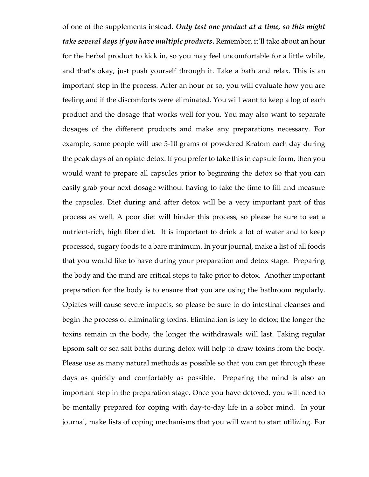of one of the supplements instead. *Only test one product at a time, so this might take several days if you have multiple products***.** Remember, it'll take about an hour for the herbal product to kick in, so you may feel uncomfortable for a little while, and that's okay, just push yourself through it. Take a bath and relax. This is an important step in the process. After an hour or so, you will evaluate how you are feeling and if the discomforts were eliminated. You will want to keep a log of each product and the dosage that works well for you. You may also want to separate dosages of the different products and make any preparations necessary. For example, some people will use 5-10 grams of powdered Kratom each day during the peak days of an opiate detox. If you prefer to take this in capsule form, then you would want to prepare all capsules prior to beginning the detox so that you can easily grab your next dosage without having to take the time to fill and measure the capsules. Diet during and after detox will be a very important part of this process as well. A poor diet will hinder this process, so please be sure to eat a nutrient-rich, high fiber diet. It is important to drink a lot of water and to keep processed, sugary foods to a bare minimum. In your journal, make a list of all foods that you would like to have during your preparation and detox stage. Preparing the body and the mind are critical steps to take prior to detox. Another important preparation for the body is to ensure that you are using the bathroom regularly. Opiates will cause severe impacts, so please be sure to do intestinal cleanses and begin the process of eliminating toxins. Elimination is key to detox; the longer the toxins remain in the body, the longer the withdrawals will last. Taking regular Epsom salt or sea salt baths during detox will help to draw toxins from the body. Please use as many natural methods as possible so that you can get through these days as quickly and comfortably as possible. Preparing the mind is also an important step in the preparation stage. Once you have detoxed, you will need to be mentally prepared for coping with day-to-day life in a sober mind. In your journal, make lists of coping mechanisms that you will want to start utilizing. For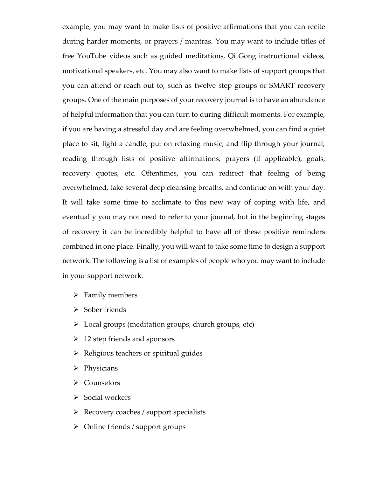example, you may want to make lists of positive affirmations that you can recite during harder moments, or prayers / mantras. You may want to include titles of free YouTube videos such as guided meditations, Qi Gong instructional videos, motivational speakers, etc. You may also want to make lists of support groups that you can attend or reach out to, such as twelve step groups or SMART recovery groups. One of the main purposes of your recovery journal is to have an abundance of helpful information that you can turn to during difficult moments. For example, if you are having a stressful day and are feeling overwhelmed, you can find a quiet place to sit, light a candle, put on relaxing music, and flip through your journal, reading through lists of positive affirmations, prayers (if applicable), goals, recovery quotes, etc. Oftentimes, you can redirect that feeling of being overwhelmed, take several deep cleansing breaths, and continue on with your day. It will take some time to acclimate to this new way of coping with life, and eventually you may not need to refer to your journal, but in the beginning stages of recovery it can be incredibly helpful to have all of these positive reminders combined in one place. Finally, you will want to take some time to design a support network. The following is a list of examples of people who you may want to include in your support network:

- ➢ Family members
- ➢ Sober friends
- ➢ Local groups (meditation groups, church groups, etc)
- $\geq 12$  step friends and sponsors
- ➢ Religious teachers or spiritual guides
- ➢ Physicians
- ➢ Counselors
- ➢ Social workers
- ➢ Recovery coaches / support specialists
- ➢ Online friends / support groups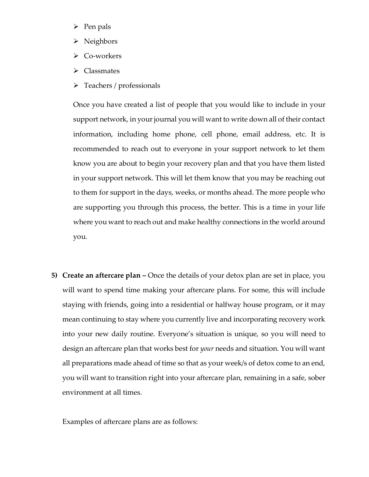- ➢ Pen pals
- ➢ Neighbors
- ➢ Co-workers
- ➢ Classmates
- ➢ Teachers / professionals

Once you have created a list of people that you would like to include in your support network, in your journal you will want to write down all of their contact information, including home phone, cell phone, email address, etc. It is recommended to reach out to everyone in your support network to let them know you are about to begin your recovery plan and that you have them listed in your support network. This will let them know that you may be reaching out to them for support in the days, weeks, or months ahead. The more people who are supporting you through this process, the better. This is a time in your life where you want to reach out and make healthy connections in the world around you.

**5) Create an aftercare plan –** Once the details of your detox plan are set in place, you will want to spend time making your aftercare plans. For some, this will include staying with friends, going into a residential or halfway house program, or it may mean continuing to stay where you currently live and incorporating recovery work into your new daily routine. Everyone's situation is unique, so you will need to design an aftercare plan that works best for *your* needs and situation. You will want all preparations made ahead of time so that as your week/s of detox come to an end, you will want to transition right into your aftercare plan, remaining in a safe, sober environment at all times.

Examples of aftercare plans are as follows: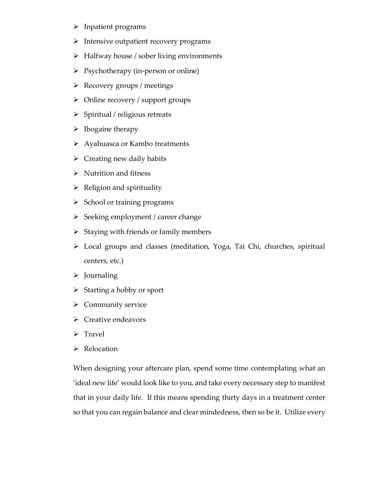- ➢ Inpatient programs
- ➢ Intensive outpatient recovery programs
- ➢ Halfway house / sober living environments
- ➢ Psychotherapy (in-person or online)
- ➢ Recovery groups / meetings
- ➢ Online recovery / support groups
- ➢ Spiritual / religious retreats
- $\triangleright$  Ibogaine therapy
- ➢ Ayahuasca or Kambo treatments
- $\triangleright$  Creating new daily habits
- $\triangleright$  Nutrition and fitness
- $\triangleright$  Religion and spirituality
- ➢ School or training programs
- ➢ Seeking employment / career change
- $\triangleright$  Staying with friends or family members
- ➢ Local groups and classes (meditation, Yoga, Tai Chi, churches, spiritual centers, etc.)
- ➢ Journaling
- ➢ Starting a hobby or sport
- ➢ Community service
- ➢ Creative endeavors
- ➢ Travel
- ➢ Relocation

When designing your aftercare plan, spend some time contemplating what an 'ideal new life' would look like to you, and take every necessary step to manifest that in your daily life. If this means spending thirty days in a treatment center so that you can regain balance and clear mindedness, then so be it. Utilize every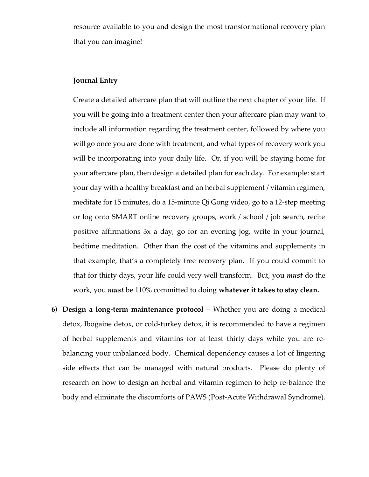resource available to you and design the most transformational recovery plan that you can imagine!

#### **Journal Entry**

Create a detailed aftercare plan that will outline the next chapter of your life. If you will be going into a treatment center then your aftercare plan may want to include all information regarding the treatment center, followed by where you will go once you are done with treatment, and what types of recovery work you will be incorporating into your daily life. Or, if you will be staying home for your aftercare plan, then design a detailed plan for each day. For example: start your day with a healthy breakfast and an herbal supplement / vitamin regimen, meditate for 15 minutes, do a 15-minute Qi Gong video, go to a 12-step meeting or log onto SMART online recovery groups, work / school / job search, recite positive affirmations 3x a day, go for an evening jog, write in your journal, bedtime meditation. Other than the cost of the vitamins and supplements in that example, that's a completely free recovery plan. If you could commit to that for thirty days, your life could very well transform. But, you *must* do the work, you *must* be 110% committed to doing **whatever it takes to stay clean.** 

**6) Design a long-term maintenance protocol** – Whether you are doing a medical detox, Ibogaine detox, or cold-turkey detox, it is recommended to have a regimen of herbal supplements and vitamins for at least thirty days while you are rebalancing your unbalanced body. Chemical dependency causes a lot of lingering side effects that can be managed with natural products. Please do plenty of research on how to design an herbal and vitamin regimen to help re-balance the body and eliminate the discomforts of PAWS (Post-Acute Withdrawal Syndrome).